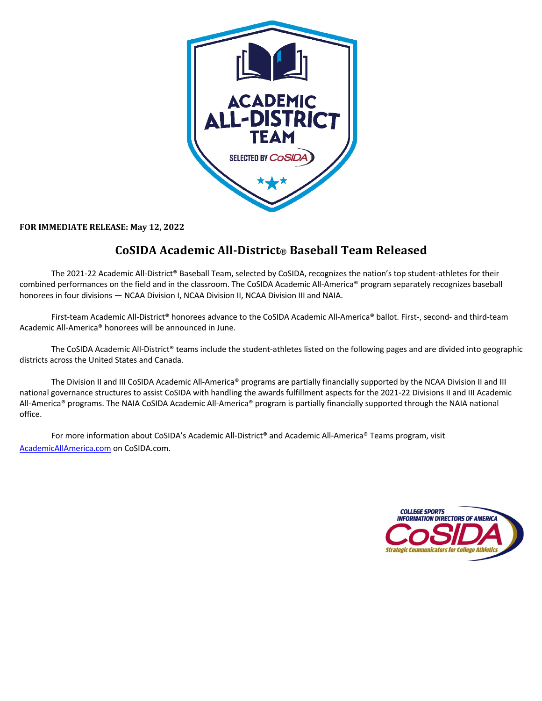

FOR IMMEDIATE RELEASE: May 12, 2022

## **CoSIDA Academic All-District**® **Baseball Team Released**

The 2021-22 Academic All-District® Baseball Team, selected by CoSIDA, recognizes the nation's top student-athletes for their combined performances on the field and in the classroom. The CoSIDA Academic All-America® program separately recognizes baseball honorees in four divisions — NCAA Division I, NCAA Division II, NCAA Division III and NAIA.

First-team Academic All-District® honorees advance to the CoSIDA Academic All-America® ballot. First-, second- and third-team Academic All-America® honorees will be announced in June.

The CoSIDA Academic All-District® teams include the student-athletes listed on the following pages and are divided into geographic districts across the United States and Canada.

The Division II and III CoSIDA Academic All-America® programs are partially financially supported by the NCAA Division II and III national governance structures to assist CoSIDA with handling the awards fulfillment aspects for the 2021-22 Divisions II and III Academic All-America® programs. The NAIA CoSIDA Academic All-America® program is partially financially supported through the NAIA national office.

For more information about CoSIDA's Academic All-District® and Academic All-America® Teams program, visit AcademicAllAmerica.com on CoSIDA.com.

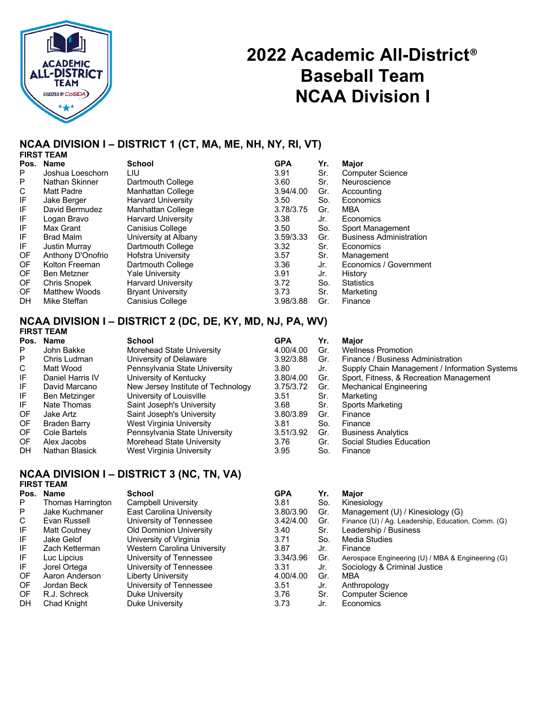

# **2022 Academic All-District**® **Baseball Team NCAA Division I**

## **NCAA DIVISION I – DISTRICT 1 (CT, MA, ME, NH, NY, RI, VT)**

|           | <b>FIRST TEAM</b>    |                           |            |     |                                |
|-----------|----------------------|---------------------------|------------|-----|--------------------------------|
| Pos.      | <b>Name</b>          | <b>School</b>             | <b>GPA</b> | Yr. | Major                          |
| P         | Joshua Loeschorn     | LIU                       | 3.91       | Sr. | <b>Computer Science</b>        |
| P         | Nathan Skinner       | Dartmouth College         | 3.60       | Sr. | Neuroscience                   |
| С         | <b>Matt Padre</b>    | <b>Manhattan College</b>  | 3.94/4.00  | Gr. | Accounting                     |
| IF        | Jake Berger          | <b>Harvard University</b> | 3.50       | So. | Economics                      |
| IF        | David Bermudez       | <b>Manhattan College</b>  | 3.78/3.75  | Gr. | <b>MBA</b>                     |
| IF        | Logan Bravo          | <b>Harvard University</b> | 3.38       | Jr. | Economics                      |
| IF        | Max Grant            | <b>Canisius College</b>   | 3.50       | So. | Sport Management               |
| IF        | <b>Brad Malm</b>     | University at Albany      | 3.59/3.33  | Gr. | <b>Business Administration</b> |
| IF.       | <b>Justin Murray</b> | Dartmouth College         | 3.32       | Sr. | Economics                      |
| OF        | Anthony D'Onofrio    | <b>Hofstra University</b> | 3.57       | Sr. | Management                     |
| <b>OF</b> | Kolton Freeman       | Dartmouth College         | 3.36       | Jr. | Economics / Government         |
| <b>OF</b> | <b>Ben Metzner</b>   | Yale University           | 3.91       | Jr. | History                        |
| <b>OF</b> | <b>Chris Snopek</b>  | <b>Harvard University</b> | 3.72       | So. | <b>Statistics</b>              |
| <b>OF</b> | <b>Matthew Woods</b> | <b>Bryant University</b>  | 3.73       | Sr. | Marketing                      |
| DH        | Mike Steffan         | <b>Canisius College</b>   | 3.98/3.88  | Gr. | Finance                        |
|           |                      |                           |            |     |                                |

### **NCAA DIVISION I – DISTRICT 2 (DC, DE, KY, MD, NJ, PA, WV) FIRST TEAM**

|           | .                   |                                    |            |     |                                               |
|-----------|---------------------|------------------------------------|------------|-----|-----------------------------------------------|
| Pos.      | Name                | School                             | <b>GPA</b> | Yr. | Major                                         |
| P.        | John Bakke          | Morehead State University          | 4.00/4.00  | Gr. | <b>Wellness Promotion</b>                     |
| P         | Chris Ludman        | University of Delaware             | 3.92/3.88  | Gr. | Finance / Business Administration             |
| C         | Matt Wood           | Pennsylvania State University      | 3.80       | Jr. | Supply Chain Management / Information Systems |
| IF        | Daniel Harris IV    | University of Kentucky             | 3.80/4.00  | Gr. | Sport, Fitness, & Recreation Management       |
| IF.       | David Marcano       | New Jersey Institute of Technology | 3.75/3.72  | Gr. | <b>Mechanical Engineering</b>                 |
| IF        | Ben Metzinger       | University of Louisville           | 3.51       | Sr. | Marketing                                     |
| IF.       | Nate Thomas         | Saint Joseph's University          | 3.68       | Sr. | Sports Marketing                              |
| OF        | Jake Artz           | Saint Joseph's University          | 3.80/3.89  | Gr. | Finance                                       |
| OF        | <b>Braden Barry</b> | West Virginia University           | 3.81       | So. | Finance                                       |
| OF.       | Cole Bartels        | Pennsylvania State University      | 3.51/3.92  | Gr. | <b>Business Analytics</b>                     |
| OF        | Alex Jacobs         | Morehead State University          | 3.76       | Gr. | Social Studies Education                      |
| <b>DH</b> | Nathan Blasick      | West Virginia University           | 3.95       | So. | Finance                                       |
|           |                     |                                    |            |     |                                               |

## **NCAA DIVISION I – DISTRICT 3 (NC, TN, VA)**

| Pos. | <b>Name</b>         | <b>School</b>                  | <b>GPA</b> | Yr. | Maior                                              |
|------|---------------------|--------------------------------|------------|-----|----------------------------------------------------|
|      | Thomas Harrington   | Campbell University            | 3.81       | So. | Kinesiology                                        |
|      | Jake Kuchmaner      | East Carolina University       | 3.80/3.90  | Gr. | Management (U) / Kinesiology (G)                   |
| C    | Evan Russell        | University of Tennessee        | 3.42/4.00  | Gr. | Finance (U) / Ag. Leadership, Education, Comm. (G) |
| IF   | <b>Matt Coutney</b> | <b>Old Dominion University</b> | 3.40       | Sr. | Leadership / Business                              |
| IF   | Jake Gelof          | University of Virginia         | 3.71       | So. | Media Studies                                      |
| IF   | Zach Ketterman      | Western Carolina University    | 3.87       | Jr. | Finance                                            |
| IF   | Luc Lipcius         | University of Tennessee        | 3.34/3.96  | Gr. | Aerospace Engineering (U) / MBA & Engineering (G)  |
| IF   | Jorel Ortega        | University of Tennessee        | 3.31       | Jr. | Sociology & Criminal Justice                       |
| OF   | Aaron Anderson      | Liberty University             | 4.00/4.00  | Gr. | <b>MBA</b>                                         |
| OF   | Jordan Beck         | University of Tennessee        | 3.51       | Jr. | Anthropology                                       |
| OF.  | R.J. Schreck        | Duke University                | 3.76       | Sr. | <b>Computer Science</b>                            |
| DH   | <b>Chad Knight</b>  | Duke University                | 3.73       | Jr. | Economics                                          |

| A       | Yr. | Major                                              |
|---------|-----|----------------------------------------------------|
| :1      | So. | Kinesiology                                        |
| 0/3.90  | Gr. | Management (U) / Kinesiology (G)                   |
| .2/4.00 | Gr. | Finance (U) / Ag. Leadership, Education, Comm. (G) |
| 0       | Sr. | Leadership / Business                              |
| '1      | So. | <b>Media Studies</b>                               |
| :7      | Jr. | Finance                                            |
| 4/3.96  | Gr. | Aerospace Engineering (U) / MBA & Engineering (G)  |
| :1      | Jr. | Sociology & Criminal Justice                       |
| 0/4.00  | Gr. | <b>MBA</b>                                         |
| ا;      | Jr. | Anthropology                                       |
| 6       | Sr. | <b>Computer Science</b>                            |
| ΄3      | Jr. | Economics                                          |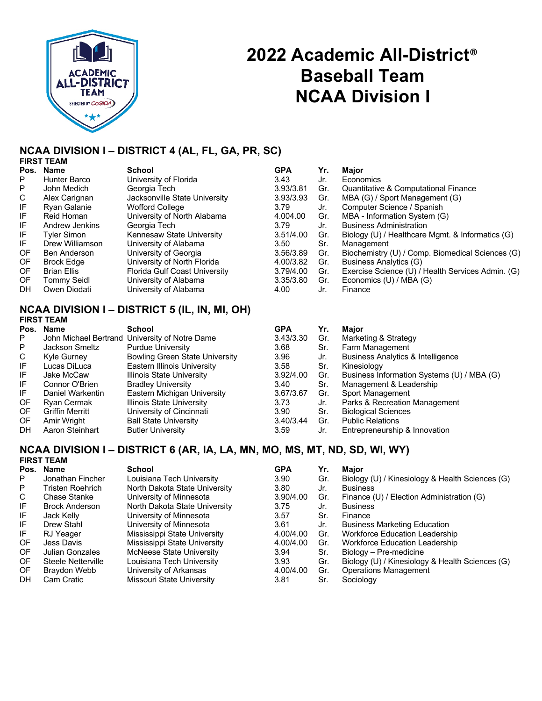

# **2022 Academic All-District**® **Baseball Team NCAA Division I**

#### **NCAA DIVISION I – DISTRICT 4 (AL, FL, GA, PR, SC) FIRST TEAM**

|      | <b>FIRƏI I CANI</b> |                               |            |     |                                                   |
|------|---------------------|-------------------------------|------------|-----|---------------------------------------------------|
| Pos. | <b>Name</b>         | <b>School</b>                 | <b>GPA</b> | Yr. | <b>Maior</b>                                      |
| P    | Hunter Barco        | University of Florida         | 3.43       | Jr. | Economics                                         |
| P    | John Medich         | Georgia Tech                  | 3.93/3.81  | Gr. | Quantitative & Computational Finance              |
| C.   | Alex Carignan       | Jacksonville State University | 3.93/3.93  | Gr. | MBA (G) / Sport Management (G)                    |
| IF   | Ryan Galanie        | Wofford College               | 3.79       | Jr. | Computer Science / Spanish                        |
| IF   | Reid Homan          | University of North Alabama   | 4.004.00   | Gr. | MBA - Information System (G)                      |
| IF   | Andrew Jenkins      | Georgia Tech                  | 3.79       | Jr. | <b>Business Administration</b>                    |
| IF   | <b>Tyler Simon</b>  | Kennesaw State University     | 3.51/4.00  | Gr. | Biology (U) / Healthcare Mgmt. & Informatics (G)  |
| IFI  | Drew Williamson     | University of Alabama         | 3.50       | Sr. | Management                                        |
| OF.  | Ben Anderson        | University of Georgia         | 3.56/3.89  | Gr. | Biochemistry (U) / Comp. Biomedical Sciences (G)  |
| OF   | <b>Brock Edge</b>   | University of North Florida   | 4.00/3.82  | Gr. | Business Analytics (G)                            |
| OF   | <b>Brian Ellis</b>  | Florida Gulf Coast University | 3.79/4.00  | Gr. | Exercise Science (U) / Health Services Admin. (G) |
| OF.  | Tommy Seidl         | University of Alabama         | 3.35/3.80  | Gr. | Economics (U) / MBA (G)                           |
| DН   | Owen Diodati        | University of Alabama         | 4.00       | Jr. | Finance                                           |

### **NCAA DIVISION I – DISTRICT 5 (IL, IN, MI, OH) FIRST TEAM**

| Pos. | <b>Name</b>            | <b>School</b>                                  | <b>GPA</b> | Yr. | <b>Major</b>                                 |
|------|------------------------|------------------------------------------------|------------|-----|----------------------------------------------|
| P    |                        | John Michael Bertrand University of Notre Dame | 3.43/3.30  | Gr. | Marketing & Strategy                         |
| P    | Jackson Smeltz         | <b>Purdue University</b>                       | 3.68       | Sr. | Farm Management                              |
| C.   | Kyle Gurney            | <b>Bowling Green State University</b>          | 3.96       | Jr. | <b>Business Analytics &amp; Intelligence</b> |
| IF.  | Lucas DiLuca           | Eastern Illinois University                    | 3.58       | Sr. | Kinesiology                                  |
| IF   | Jake McCaw             | Illinois State University                      | 3.92/4.00  | Gr. | Business Information Systems (U) / MBA (G)   |
| IF   | Connor O'Brien         | <b>Bradley University</b>                      | 3.40       | Sr. | Management & Leadership                      |
| IF   | Daniel Warkentin       | Eastern Michigan University                    | 3.67/3.67  | Gr. | Sport Management                             |
| OF.  | Ryan Cermak            | <b>Illinois State University</b>               | 3.73       | Jr. | Parks & Recreation Management                |
| OF.  | <b>Griffin Merritt</b> | University of Cincinnati                       | 3.90       | Sr. | <b>Biological Sciences</b>                   |
| OF.  | Amir Wright            | <b>Ball State University</b>                   | 3.40/3.44  | Gr. | <b>Public Relations</b>                      |
| DН   | Aaron Steinhart        | <b>Butler University</b>                       | 3.59       | Jr. | Entrepreneurship & Innovation                |

### **NCAA DIVISION I – DISTRICT 6 (AR, IA, LA, MN, MO, MS, MT, ND, SD, WI, WY) FIRST TEAM**

| Pos.      | Name                   | <b>School</b>                   | <b>GPA</b> | Yr. | Major                                           |
|-----------|------------------------|---------------------------------|------------|-----|-------------------------------------------------|
| P.        | Jonathan Fincher       | Louisiana Tech University       | 3.90       | Gr. | Biology (U) / Kinesiology & Health Sciences (G) |
| P.        | Tristen Roehrich       | North Dakota State University   | 3.80       | Jr. | <b>Business</b>                                 |
| C         | <b>Chase Stanke</b>    | University of Minnesota         | 3.90/4.00  | Gr. | Finance (U) / Election Administration (G)       |
| IF        | <b>Brock Anderson</b>  | North Dakota State University   | 3.75       | Jr. | <b>Business</b>                                 |
| IF        | Jack Kelly             | University of Minnesota         | 3.57       | Sr. | Finance                                         |
| IF        | Drew Stahl             | University of Minnesota         | 3.61       | Jr. | <b>Business Marketing Education</b>             |
| IF        | RJ Yeager              | Mississippi State University    | 4.00/4.00  | Gr. | Workforce Education Leadership                  |
| OF.       | Jess Davis             | Mississippi State University    | 4.00/4.00  | Gr. | Workforce Education Leadership                  |
| OF        | <b>Julian Gonzales</b> | <b>McNeese State University</b> | 3.94       | Sr. | Biology - Pre-medicine                          |
| <b>OF</b> | Steele Netterville     | Louisiana Tech University       | 3.93       | Gr. | Biology (U) / Kinesiology & Health Sciences (G) |
| <b>OF</b> | Braydon Webb           | University of Arkansas          | 4.00/4.00  | Gr. | <b>Operations Management</b>                    |
| <b>DH</b> | Cam Cratic             | Missouri State University       | 3.81       | Sr. | Sociology                                       |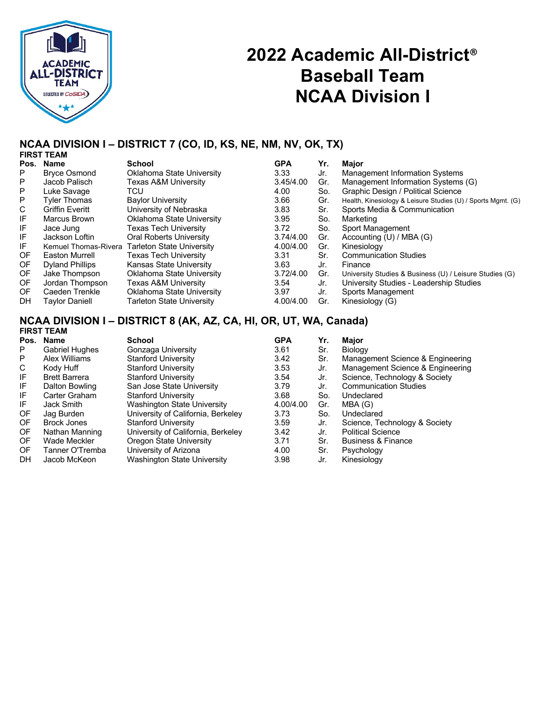

# **2022 Academic All-District**® **Baseball Team NCAA Division I**

## **NCAA DIVISION I – DISTRICT 7 (CO, ID, KS, NE, NM, NV, OK, TX)**

|      | <b>FIRST TEAM</b>      |                                                |            |     |                                                              |
|------|------------------------|------------------------------------------------|------------|-----|--------------------------------------------------------------|
| Pos. | Name                   | School                                         | <b>GPA</b> | Yr. | Major                                                        |
| P    | <b>Bryce Osmond</b>    | Oklahoma State University                      | 3.33       | Jr. | Management Information Systems                               |
| P    | Jacob Palisch          | Texas A&M University                           | 3.45/4.00  | Gr. | Management Information Systems (G)                           |
| P    | Luke Savage            | TCU                                            | 4.00       | So. | Graphic Design / Political Science                           |
| P    | <b>Tyler Thomas</b>    | <b>Baylor University</b>                       | 3.66       | Gr. | Health, Kinesiology & Leisure Studies (U) / Sports Mgmt. (G) |
| С    | <b>Griffin Everitt</b> | University of Nebraska                         | 3.83       | Sr. | Sports Media & Communication                                 |
| IF   | Marcus Brown           | Oklahoma State University                      | 3.95       | So. | Marketing                                                    |
| IF   | Jace Jung              | Texas Tech Universitv                          | 3.72       | So. | Sport Management                                             |
| IF   | Jackson Loftin         | <b>Oral Roberts University</b>                 | 3.74/4.00  | Gr. | Accounting (U) / MBA (G)                                     |
| IF   |                        | Kemuel Thomas-Rivera Tarleton State University | 4.00/4.00  | Gr. | Kinesiology                                                  |
| 0F   | Easton Murrell         | Texas Tech Universitv                          | 3.31       | Sr. | <b>Communication Studies</b>                                 |
| OF.  | <b>Dyland Phillips</b> | Kansas State University                        | 3.63       | Jr. | Finance                                                      |
| OF   | Jake Thompson          | Oklahoma State University                      | 3.72/4.00  | Gr. | University Studies & Business (U) / Leisure Studies (G)      |
| 0F   | Jordan Thompson        | Texas A&M Universitv                           | 3.54       | Jr. | University Studies - Leadership Studies                      |
| OF.  | Caeden Trenkle         | Oklahoma State University                      | 3.97       | Jr. | Sports Management                                            |
| DH.  | Tavlor Daniell         | Tarleton State University                      | 4.00/4.00  | Gr. | Kinesiology (G)                                              |

#### **NCAA DIVISION I – DISTRICT 8 (AK, AZ, CA, HI, OR, UT, WA, Canada) FIRST TEAM**

| .                     |                                    |            |     |                                  |
|-----------------------|------------------------------------|------------|-----|----------------------------------|
| Name<br>Pos.          | School                             | <b>GPA</b> | Yr. | Major                            |
| <b>Gabriel Hughes</b> | Gonzaga University                 | 3.61       | Sr. | Biology                          |
| Alex Williams         | <b>Stanford University</b>         | 3.42       | Sr. | Management Science & Engineering |
| Kody Huff             | <b>Stanford University</b>         | 3.53       | Jr. | Management Science & Engineering |
| <b>Brett Barrera</b>  | <b>Stanford University</b>         | 3.54       | Jr. | Science, Technology & Society    |
| Dalton Bowling        | San Jose State University          | 3.79       | Jr. | <b>Communication Studies</b>     |
| Carter Graham         | <b>Stanford University</b>         | 3.68       | So. | Undeclared                       |
| Jack Smith            | Washington State University        | 4.00/4.00  | Gr. | MBA (G)                          |
| Jag Burden            | University of California, Berkeley | 3.73       | So. | Undeclared                       |
| <b>Brock Jones</b>    | <b>Stanford University</b>         | 3.59       | Jr. | Science, Technology & Society    |
| Nathan Manning        | University of California, Berkeley | 3.42       | Jr. | <b>Political Science</b>         |
| Wade Meckler          | Oregon State University            | 3.71       | Sr. | <b>Business &amp; Finance</b>    |
| Tanner O'Tremba       | University of Arizona              | 4.00       | Sr. | Psychology                       |
| Jacob McKeon          | <b>Washington State University</b> | 3.98       | Jr. | Kinesiology                      |
|                       |                                    |            |     |                                  |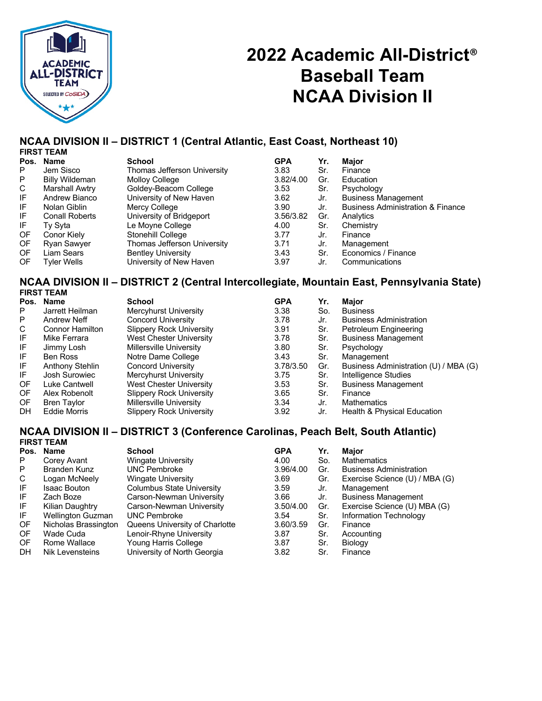

# **2022 Academic All-District**® **Baseball Team NCAA Division II**

#### **NCAA DIVISION II – DISTRICT 1 (Central Atlantic, East Coast, Northeast 10) FIRST TEAM**

|      | <b>FINƏI I LANI</b>   |                             |            |     |                                              |
|------|-----------------------|-----------------------------|------------|-----|----------------------------------------------|
| Pos. | Name                  | <b>School</b>               | <b>GPA</b> | Yr. | Major                                        |
| P    | Jem Sisco             | Thomas Jefferson University | 3.83       | Sr. | Finance                                      |
| P    | <b>Billy Wildeman</b> | <b>Molloy College</b>       | 3.82/4.00  | Gr. | Education                                    |
| C    | Marshall Awtry        | Goldey-Beacom College       | 3.53       | Sr. | Psychology                                   |
| IF   | Andrew Bianco         | University of New Haven     | 3.62       | Jr. | <b>Business Management</b>                   |
| IF   | Nolan Giblin          | Mercy College               | 3.90       | Jr. | <b>Business Administration &amp; Finance</b> |
| IF   | <b>Conall Roberts</b> | University of Bridgeport    | 3.56/3.82  | Gr. | Analytics                                    |
| IF   | Ty Syta               | Le Moyne College            | 4.00       | Sr. | Chemistry                                    |
| OF   | Conor Kiely           | Stonehill College           | 3.77       | Jr. | Finance                                      |
| OF   | <b>Ryan Sawyer</b>    | Thomas Jefferson University | 3.71       | Jr. | Management                                   |
| OF.  | Liam Sears            | <b>Bentley University</b>   | 3.43       | Sr. | Economics / Finance                          |
| OF   | Tyler Wells           | University of New Haven     | 3.97       | Jr. | Communications                               |
|      |                       |                             |            |     |                                              |

### **NCAA DIVISION II – DISTRICT 2 (Central Intercollegiate, Mountain East, Pennsylvania State) FIRST TEAM**

|      | .                      |                                 |            |     |                                        |
|------|------------------------|---------------------------------|------------|-----|----------------------------------------|
| Pos. | Name                   | <b>School</b>                   | <b>GPA</b> | Yr. | <b>Major</b>                           |
| P    | Jarrett Heilman        | Mercyhurst University           | 3.38       | So. | <b>Business</b>                        |
| P    | <b>Andrew Neff</b>     | Concord University              | 3.78       | Jr. | <b>Business Administration</b>         |
| C    | <b>Connor Hamilton</b> | <b>Slippery Rock University</b> | 3.91       | Sr. | Petroleum Engineering                  |
| IF   | Mike Ferrara           | <b>West Chester University</b>  | 3.78       | Sr. | <b>Business Management</b>             |
| IF   | Jimmy Losh             | Millersville University         | 3.80       | Sr. | Psychology                             |
| IF   | <b>Ben Ross</b>        | Notre Dame College              | 3.43       | Sr. | Management                             |
| IF   | <b>Anthony Stehlin</b> | Concord University              | 3.78/3.50  | Gr. | Business Administration (U) / MBA (G)  |
| IF   | Josh Surowiec          | Mercyhurst University           | 3.75       | Sr. | Intelligence Studies                   |
| OF   | Luke Cantwell          | West Chester University         | 3.53       | Sr. | <b>Business Management</b>             |
| OF   | Alex Robenolt          | <b>Slippery Rock University</b> | 3.65       | Sr. | Finance                                |
| OF.  | <b>Bren Taylor</b>     | Millersville University         | 3.34       | Jr. | <b>Mathematics</b>                     |
| DH   | Eddie Morris           | <b>Slippery Rock University</b> | 3.92       | Jr. | <b>Health &amp; Physical Education</b> |

## **NCAA DIVISION II – DISTRICT 3 (Conference Carolinas, Peach Belt, South Atlantic)**

|      | <b>FIRST TEAM</b>        |                                |            |     |                                |
|------|--------------------------|--------------------------------|------------|-----|--------------------------------|
| Pos. | Name                     | <b>School</b>                  | <b>GPA</b> | Yr. | Major                          |
| P    | Corey Avant              | Wingate University             | 4.00       | So. | <b>Mathematics</b>             |
| P    | Branden Kunz             | <b>UNC Pembroke</b>            | 3.96/4.00  | Gr. | <b>Business Administration</b> |
| C    | Logan McNeely            | Wingate University             | 3.69       | Gr. | Exercise Science (U) / MBA (G) |
| IF   | <b>Isaac Bouton</b>      | Columbus State University      | 3.59       | Jr. | Management                     |
| IF   | Zach Boze                | Carson-Newman University       | 3.66       | Jr. | <b>Business Management</b>     |
| IF   | Kilian Daughtry          | Carson-Newman University       | 3.50/4.00  | Gr. | Exercise Science (U) MBA (G)   |
| IF.  | <b>Wellington Guzman</b> | <b>UNC Pembroke</b>            | 3.54       | Sr. | Information Technology         |
| 0F   | Nicholas Brassington     | Queens University of Charlotte | 3.60/3.59  | Gr. | Finance                        |
| 0F   | Wade Cuda                | Lenoir-Rhyne University        | 3.87       | Sr. | Accounting                     |
| OF.  | Rome Wallace             | Young Harris College           | 3.87       | Sr. | Biology                        |
| DH   | Nik Levensteins          | University of North Georgia    | 3.82       | Sr. | Finance                        |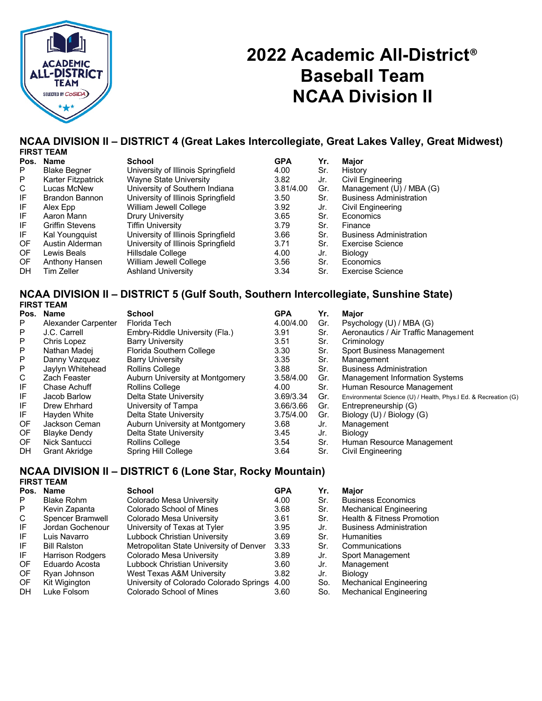

# **2022 Academic All-District**® **Baseball Team NCAA Division II**

## **NCAA DIVISION II – DISTRICT 4 (Great Lakes Intercollegiate, Great Lakes Valley, Great Midwest)**

| <b>FIRST TEAM</b>   |                                    |            |     |                                |
|---------------------|------------------------------------|------------|-----|--------------------------------|
| <b>Name</b><br>Pos. | School                             | <b>GPA</b> | Yr. | Major                          |
| <b>Blake Begner</b> | University of Illinois Springfield | 4.00       | Sr. | History                        |
| Karter Fitzpatrick  | <b>Wayne State University</b>      | 3.82       | Jr. | Civil Engineering              |
| Lucas McNew         | University of Southern Indiana     | 3.81/4.00  | Gr. | Management (U) / MBA (G)       |
| Brandon Bannon      | University of Illinois Springfield | 3.50       | Sr. | <b>Business Administration</b> |
| Alex Epp            | William Jewell College             | 3.92       | Jr. | Civil Engineering              |
| Aaron Mann          | Drury University                   | 3.65       | Sr. | Economics                      |
| Griffin Stevens     | <b>Tiffin University</b>           | 3.79       | Sr. | Finance                        |
| Kal Youngquist      | University of Illinois Springfield | 3.66       | Sr. | <b>Business Administration</b> |
| Austin Alderman     | University of Illinois Springfield | 3.71       | Sr. | <b>Exercise Science</b>        |
| Lewis Beals         | Hillsdale College                  | 4.00       | Jr. | <b>Biology</b>                 |
| Anthony Hansen      | William Jewell College             | 3.56       | Sr. | Economics                      |
| Tim Zeller          | <b>Ashland University</b>          | 3.34       | Sr. | <b>Exercise Science</b>        |
|                     |                                    |            |     |                                |

### **NCAA DIVISION II – DISTRICT 5 (Gulf South, Southern Intercollegiate, Sunshine State) FIRST TEAM**

|     | Pos. Name            | <b>School</b>                   | <b>GPA</b> | Yr. | <b>Maior</b>                                                    |
|-----|----------------------|---------------------------------|------------|-----|-----------------------------------------------------------------|
| P   | Alexander Carpenter  | Florida Tech                    | 4.00/4.00  | Gr. | Psychology (U) / MBA (G)                                        |
| P   | J.C. Carrell         | Embry-Riddle University (Fla.)  | 3.91       | Sr. | Aeronautics / Air Traffic Management                            |
| P   | Chris Lopez          | <b>Barry University</b>         | 3.51       | Sr. | Criminology                                                     |
| P   | Nathan Madei         | Florida Southern College        | 3.30       | Sr. | Sport Business Management                                       |
| P   | Danny Vazquez        | <b>Barry University</b>         | 3.35       | Sr. | Management                                                      |
| P   | Jaylyn Whitehead     | Rollins College                 | 3.88       | Sr. | <b>Business Administration</b>                                  |
| C   | Zach Feaster         | Auburn University at Montgomery | 3.58/4.00  | Gr. | <b>Management Information Systems</b>                           |
| IF  | Chase Achuff         | Rollins College                 | 4.00       | Sr. | Human Resource Management                                       |
| IF  | Jacob Barlow         | Delta State University          | 3.69/3.34  | Gr. | Environmental Science (U) / Health, Phys.I Ed. & Recreation (G) |
| IF  | Drew Ehrhard         | University of Tampa             | 3.66/3.66  | Gr. | Entrepreneurship (G)                                            |
| IF  | Hayden White         | Delta State University          | 3.75/4.00  | Gr. | Biology (U) / Biology (G)                                       |
| OF  | Jackson Ceman        | Auburn University at Montgomery | 3.68       | Jr. | Management                                                      |
| OF. | <b>Blayke Dendy</b>  | Delta State University          | 3.45       | Jr. | Biology                                                         |
| OF. | Nick Santucci        | Rollins College                 | 3.54       | Sr. | Human Resource Management                                       |
| DH  | <b>Grant Akridge</b> | Spring Hill College             | 3.64       | Sr. | Civil Engineering                                               |
|     |                      |                                 |            |     |                                                                 |

#### **NCAA DIVISION II – DISTRICT 6 (Lone Star, Rocky Mountain) FIRST TEAM**

|      | 1 1117. I LAM           |                                         |            |     |                                       |
|------|-------------------------|-----------------------------------------|------------|-----|---------------------------------------|
| Pos. | Name                    | School                                  | <b>GPA</b> | Yr. | Major                                 |
| P    | <b>Blake Rohm</b>       | Colorado Mesa University                | 4.00       | Sr. | <b>Business Economics</b>             |
| P    | Kevin Zapanta           | Colorado School of Mines                | 3.68       | Sr. | <b>Mechanical Engineering</b>         |
| C    | Spencer Bramwell        | Colorado Mesa University                | 3.61       | Sr. | <b>Health &amp; Fitness Promotion</b> |
| IF   | Jordan Gochenour        | University of Texas at Tyler            | 3.95       | Jr. | <b>Business Administration</b>        |
| IF   | Luis Navarro            | Lubbock Christian University            | 3.69       | Sr. | <b>Humanities</b>                     |
| IF   | <b>Bill Ralston</b>     | Metropolitan State University of Denver | 3.33       | Sr. | Communications                        |
| IF   | <b>Harrison Rodgers</b> | Colorado Mesa University                | 3.89       | Jr. | Sport Management                      |
| OF   | Eduardo Acosta          | Lubbock Christian University            | 3.60       | Jr. | Management                            |
| OF   | Ryan Johnson            | West Texas A&M University               | 3.82       | Jr. | Biology                               |
| OF   | Kit Wigington           | University of Colorado Colorado Springs | 4.00       | So. | <b>Mechanical Engineering</b>         |
| DН   | Luke Folsom             | Colorado School of Mines                | 3.60       | So. | <b>Mechanical Engineering</b>         |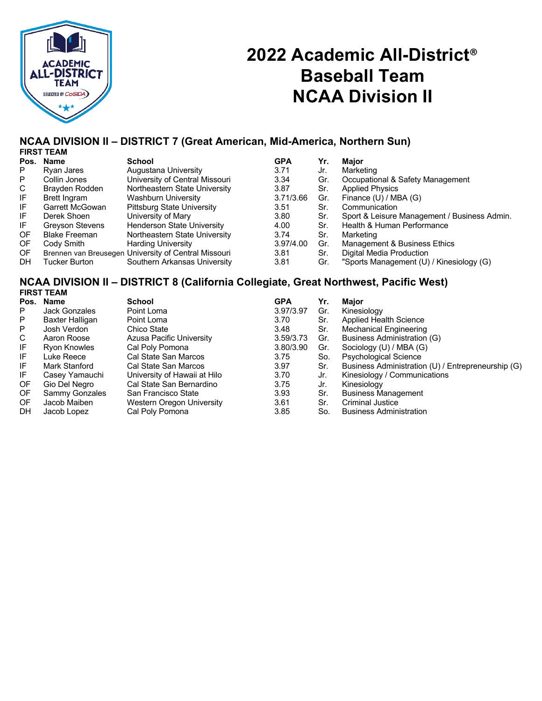

# **2022 Academic All-District**® **Baseball Team NCAA Division II**

## **NCAA DIVISION II – DISTRICT 7 (Great American, Mid-America, Northern Sun)**

|           | <b>FIRST TEAM</b>    |                                                      |            |     |                                              |
|-----------|----------------------|------------------------------------------------------|------------|-----|----------------------------------------------|
| Pos.      | <b>Name</b>          | School                                               | <b>GPA</b> | Yr. | Major                                        |
| P.        | Rvan Jares           | Augustana University                                 | 3.71       | Jr. | Marketing                                    |
| P.        | Collin Jones         | University of Central Missouri                       | 3.34       | Gr. | Occupational & Safety Management             |
| C         | Brayden Rodden       | Northeastern State University                        | 3.87       | Sr. | <b>Applied Physics</b>                       |
| IF        | Brett Ingram         | <b>Washburn University</b>                           | 3.71/3.66  | Gr. | Finance (U) / MBA (G)                        |
| IF        | Garrett McGowan      | <b>Pittsburg State University</b>                    | 3.51       | Sr. | Communication                                |
| IF        | Derek Shoen          | University of Mary                                   | 3.80       | Sr. | Sport & Leisure Management / Business Admin. |
| IF.       | Greyson Stevens      | <b>Henderson State University</b>                    | 4.00       | Sr. | Health & Human Performance                   |
| <b>OF</b> | <b>Blake Freeman</b> | Northeastern State University                        | 3.74       | Sr. | Marketing                                    |
| OF.       | Cody Smith           | <b>Harding University</b>                            | 3.97/4.00  | Gr. | Management & Business Ethics                 |
| OF.       |                      | Brennen van Breusegen University of Central Missouri | 3.81       | Sr. | Digital Media Production                     |
| <b>DH</b> | Tucker Burton        | Southern Arkansas University                         | 3.81       | Gr. | "Sports Management (U) / Kinesiology (G)     |

## **NCAA DIVISION II – DISTRICT 8 (California Collegiate, Great Northwest, Pacific West) FIRST TEAM**

| Pos. | <b>Name</b>          | <b>School</b>                | <b>GPA</b> | Yr. | Maior                                              |
|------|----------------------|------------------------------|------------|-----|----------------------------------------------------|
| P    | <b>Jack Gonzales</b> | Point Loma                   | 3.97/3.97  | Gr. | Kinesiology                                        |
| P    | Baxter Halligan      | Point Loma                   | 3.70       | Sr. | Applied Health Science                             |
| P    | Josh Verdon          | Chico State                  | 3.48       | Sr. | <b>Mechanical Engineering</b>                      |
| C    | Aaron Roose          | Azusa Pacific University     | 3.59/3.73  | Gr. | Business Administration (G)                        |
| IF   | Ryon Knowles         | Cal Poly Pomona              | 3.80/3.90  | Gr. | Sociology (U) / MBA (G)                            |
| IF   | Luke Reece           | Cal State San Marcos         | 3.75       | So. | <b>Psychological Science</b>                       |
| IF   | Mark Stanford        | Cal State San Marcos         | 3.97       | Sr. | Business Administration (U) / Entrepreneurship (G) |
| IF   | Casey Yamauchi       | University of Hawaii at Hilo | 3.70       | Jr. | Kinesiology / Communications                       |
| 0F   | Gio Del Negro        | Cal State San Bernardino     | 3.75       | Jr. | Kinesiology                                        |
| 0F   | Sammy Gonzales       | San Francisco State          | 3.93       | Sr. | <b>Business Management</b>                         |
| OF.  | Jacob Maiben         | Western Oregon University    | 3.61       | Sr. | <b>Criminal Justice</b>                            |
| DH   | Jacob Lopez          | Cal Poly Pomona              | 3.85       | So. | <b>Business Administration</b>                     |
|      |                      |                              |            |     |                                                    |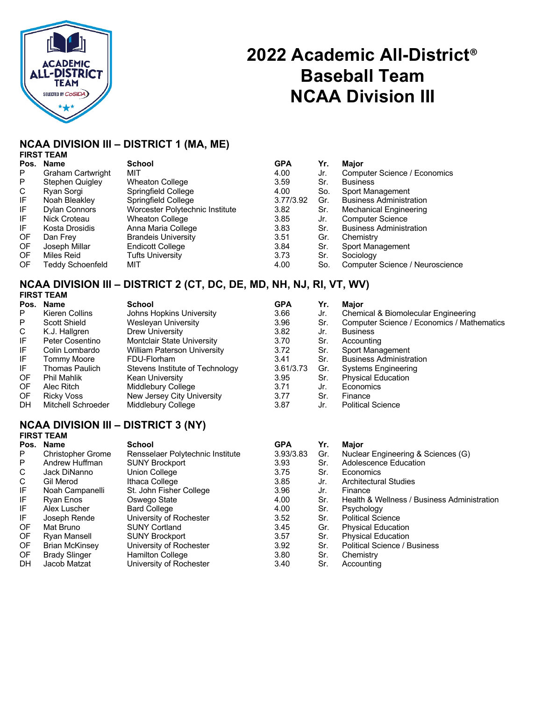

# **2022 Academic All-District**® **Baseball Team NCAA Division III**

## **NCAA DIVISION III – DISTRICT 1 (MA, ME)**

|           | <b>FIRST TEAM</b> |
|-----------|-------------------|
| Pos. Name |                   |

|     | Pos. Name            | <b>School</b>                   | <b>GPA</b> | Yr. | <b>Maior</b>                        |
|-----|----------------------|---------------------------------|------------|-----|-------------------------------------|
| P.  | Graham Cartwright    | MIT                             | 4.00       | Jr. | <b>Computer Science / Economics</b> |
| P   | Stephen Quigley      | <b>Wheaton College</b>          | 3.59       | Sr. | <b>Business</b>                     |
| C   | Ryan Sorgi           | Springfield College             | 4.00       | So. | Sport Management                    |
| IF  | Noah Bleakley        | Springfield College             | 3.77/3.92  | Gr. | <b>Business Administration</b>      |
| IF. | <b>Dylan Connors</b> | Worcester Polytechnic Institute | 3.82       | Sr. | <b>Mechanical Engineering</b>       |
| IF  | Nick Croteau         | <b>Wheaton College</b>          | 3.85       | Jr. | <b>Computer Science</b>             |
| IF  | Kosta Drosidis       | Anna Maria College              | 3.83       | Sr. | <b>Business Administration</b>      |
| OF  | Dan Frey             | <b>Brandeis University</b>      | 3.51       | Gr. | Chemistry                           |
| 0F  | Joseph Millar        | <b>Endicott College</b>         | 3.84       | Sr. | Sport Management                    |
| OF. | Miles Reid           | Tufts University                | 3.73       | Sr. | Sociology                           |
| OF  | Teddy Schoenfeld     | MIT                             | 4.00       | So. | Computer Science / Neuroscience     |
|     |                      |                                 |            |     |                                     |

### **NCAA DIVISION III – DISTRICT 2 (CT, DC, DE, MD, NH, NJ, RI, VT, WV) FIRST TEAM**

|    | <b>FINJI I LAIVI</b> |                                    |            |     |                                            |
|----|----------------------|------------------------------------|------------|-----|--------------------------------------------|
|    | Pos. Name            | <b>School</b>                      | <b>GPA</b> | Yr. | <b>Maior</b>                               |
| P  | Kieren Collins       | Johns Hopkins University           | 3.66       | Jr. | Chemical & Biomolecular Engineering        |
| P  | Scott Shield         | Wesleyan University                | 3.96       | Sr. | Computer Science / Economics / Mathematics |
| C  | K.J. Hallgren        | Drew University                    | 3.82       | Jr. | <b>Business</b>                            |
| IF | Peter Cosentino      | Montclair State University         | 3.70       | Sr. | Accounting                                 |
| IF | Colin Lombardo       | <b>William Paterson University</b> | 3.72       | Sr. | Sport Management                           |
| IF | <b>Tommy Moore</b>   | FDU-Florham                        | 3.41       | Sr. | <b>Business Administration</b>             |
| IF | Thomas Paulich       | Stevens Institute of Technology    | 3.61/3.73  | Gr. | <b>Systems Engineering</b>                 |
| OF | <b>Phil Mahlik</b>   | Kean University                    | 3.95       | Sr. | <b>Physical Education</b>                  |
| OF | Alec Ritch           | Middlebury College                 | 3.71       | Jr. | Economics                                  |
| OF | Ricky Voss           | New Jersey City University         | 3.77       | Sr. | Finance                                    |
| DH | Mitchell Schroeder   | Middlebury College                 | 3.87       | Jr. | <b>Political Science</b>                   |

### **NCAA DIVISION III – DISTRICT 3 (NY) FIRST TEAM**

|     | Pos. Name                | School                           | <b>GPA</b> | Yr. | Maior                                       |
|-----|--------------------------|----------------------------------|------------|-----|---------------------------------------------|
| P   | <b>Christopher Grome</b> | Rensselaer Polytechnic Institute | 3.93/3.83  | Gr. | Nuclear Engineering & Sciences (G)          |
| P   | Andrew Huffman           | <b>SUNY Brockport</b>            | 3.93       | Sr. | Adolescence Education                       |
| C   | Jack DiNanno             | Union College                    | 3.75       | Sr. | Economics                                   |
| C   | Gil Merod                | Ithaca College                   | 3.85       | Jr. | <b>Architectural Studies</b>                |
| IF  | Noah Campanelli          | St. John Fisher College          | 3.96       | Jr. | Finance                                     |
| IF  | Ryan Enos                | Oswego State                     | 4.00       | Sr. | Health & Wellness / Business Administration |
| IF  | Alex Luscher             | <b>Bard College</b>              | 4.00       | Sr. | Psychology                                  |
| IF  | Joseph Rende             | University of Rochester          | 3.52       | Sr. | <b>Political Science</b>                    |
| 0F  | Mat Bruno                | <b>SUNY Cortland</b>             | 3.45       | Gr. | <b>Physical Education</b>                   |
| 0F  | Ryan Mansell             | <b>SUNY Brockport</b>            | 3.57       | Sr. | <b>Physical Education</b>                   |
| OF. | <b>Brian McKinsey</b>    | University of Rochester          | 3.92       | Sr. | Political Science / Business                |
| OF. | <b>Brady Slinger</b>     | Hamilton College                 | 3.80       | Sr. | Chemistry                                   |
| DH  | Jacob Matzat             | University of Rochester          | 3.40       | Sr. | Accounting                                  |
|     |                          |                                  |            |     |                                             |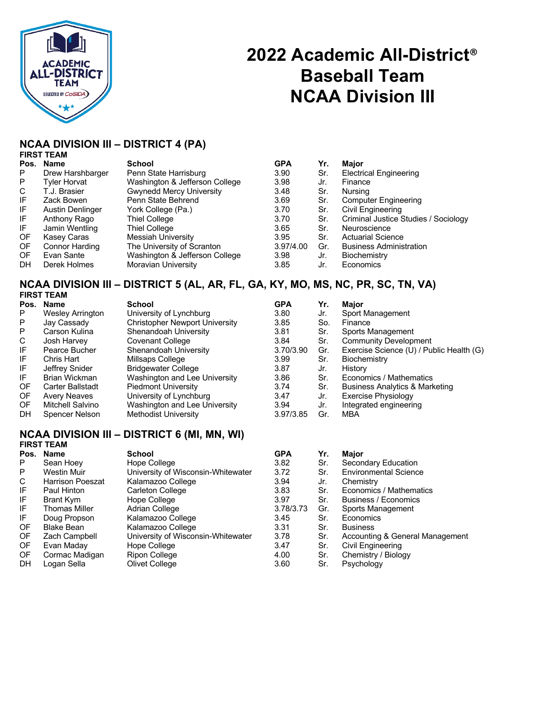

# **2022 Academic All-District**® **Baseball Team NCAA Division III**

## **NCAA DIVISION III – DISTRICT 4 (PA)**

**FIRST TEAM**

| Pos.      | Name             | <b>School</b>                   | <b>GPA</b> | Yr. | <b>Major</b>                         |
|-----------|------------------|---------------------------------|------------|-----|--------------------------------------|
| P         | Drew Harshbarger | Penn State Harrisburg           | 3.90       | Sr. | <b>Electrical Engineering</b>        |
| P         | Tyler Horvat     | Washington & Jefferson College  | 3.98       | Jr. | Finance                              |
| C         | T.J. Brasier     | <b>Gwynedd Mercy University</b> | 3.48       | Sr. | Nursing                              |
| IF        | Zack Bowen       | Penn State Behrend              | 3.69       | Sr. | <b>Computer Engineering</b>          |
| IF        | Austin Denlinger | York College (Pa.)              | 3.70       | Sr. | Civil Engineering                    |
| IF        | Anthony Rago     | Thiel College                   | 3.70       | Sr. | Criminal Justice Studies / Sociology |
| IF        | Jamin Wentling   | Thiel College                   | 3.65       | Sr. | Neuroscience                         |
| OF        | Kasey Caras      | Messiah University              | 3.95       | Sr. | <b>Actuarial Science</b>             |
| OF        | Connor Harding   | The University of Scranton      | 3.97/4.00  | Gr. | <b>Business Administration</b>       |
| OF.       | Evan Sante       | Washington & Jefferson College  | 3.98       | Jr. | Biochemistry                         |
| <b>DH</b> | Derek Holmes     | Moravian University             | 3.85       | Jr. | Economics                            |

### **NCAA DIVISION III – DISTRICT 5 (AL, AR, FL, GA, KY, MO, MS, NC, PR, SC, TN, VA) FIRST TEAM**

| 1 1139 LAW              |                                       |            |     |                                           |
|-------------------------|---------------------------------------|------------|-----|-------------------------------------------|
| Pos. Name               | School                                | <b>GPA</b> | Yr. | Major                                     |
| <b>Wesley Arrington</b> | University of Lynchburg               | 3.80       | Jr. | Sport Management                          |
| Jay Cassady             | <b>Christopher Newport University</b> | 3.85       | So. | Finance                                   |
| Carson Kulina           | Shenandoah University                 | 3.81       | Sr. | Sports Management                         |
| Josh Harvey             | Covenant College                      | 3.84       | Sr. | <b>Community Development</b>              |
| Pearce Bucher           | Shenandoah University                 | 3.70/3.90  | Gr. | Exercise Science (U) / Public Health (G)  |
| Chris Hart              | Millsaps College                      | 3.99       | Sr. | Biochemistry                              |
| Jeffrey Snider          | <b>Bridgewater College</b>            | 3.87       | Jr. | History                                   |
| Brian Wickman           | Washington and Lee University         | 3.86       | Sr. | Economics / Mathematics                   |
| Carter Ballstadt        | <b>Piedmont University</b>            | 3.74       | Sr. | <b>Business Analytics &amp; Marketing</b> |
| <b>Avery Neaves</b>     | University of Lynchburg               | 3.47       | Jr. | <b>Exercise Physiology</b>                |
| Mitchell Salvino        | Washington and Lee University         | 3.94       | Jr. | Integrated engineering                    |
| Spencer Nelson          | Methodist University                  | 3.97/3.85  | Gr. | MBA                                       |
|                         |                                       |            |     |                                           |

## **NCAA DIVISION III – DISTRICT 6 (MI, MN, WI)**

|      | <b>FIRST TEAM</b>    |                                    |            |     |                                 |
|------|----------------------|------------------------------------|------------|-----|---------------------------------|
| Pos. | Name                 | <b>School</b>                      | <b>GPA</b> | Yr. | Major                           |
| P    | Sean Hoey            | Hope College                       | 3.82       | Sr. | Secondary Education             |
| P    | Westin Muir          | University of Wisconsin-Whitewater | 3.72       | Sr. | <b>Environmental Science</b>    |
| C    | Harrison Poeszat     | Kalamazoo College                  | 3.94       | Jr. | Chemistry                       |
| IF   | Paul Hinton          | <b>Carleton College</b>            | 3.83       | Sr. | Economics / Mathematics         |
| IF   | Brant Kym            | Hope College                       | 3.97       | Sr. | Business / Economics            |
| IF   | <b>Thomas Miller</b> | Adrian College                     | 3.78/3.73  | Gr. | Sports Management               |
| IF.  | Doug Propson         | Kalamazoo College                  | 3.45       | Sr. | Economics                       |
| 0F   | <b>Blake Bean</b>    | Kalamazoo College                  | 3.31       | Sr. | <b>Business</b>                 |
| 0F   | Zach Campbell        | University of Wisconsin-Whitewater | 3.78       | Sr. | Accounting & General Management |
| OF.  | Evan Maday           | Hope College                       | 3.47       | Sr. | Civil Engineering               |
| OF.  | Cormac Madigan       | Ripon College                      | 4.00       | Sr. | Chemistry / Biology             |
| DH   | Logan Sella          | Olivet College                     | 3.60       | Sr. | Psychology                      |
|      |                      |                                    |            |     |                                 |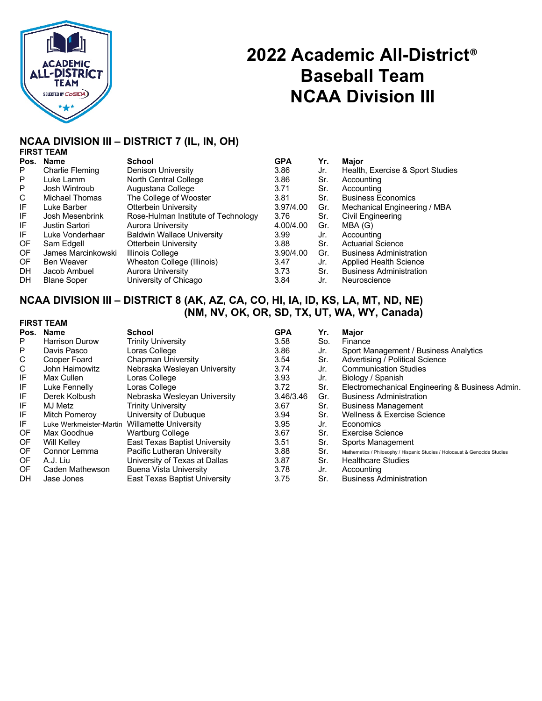

# **2022 Academic All-District**® **Baseball Team NCAA Division III**

### **NCAA DIVISION III – DISTRICT 7 (IL, IN, OH) FIRST TEAM**

| Pos. | <b>Name</b>            | <b>School</b>                       | <b>GPA</b> | Yr. | Major                            |
|------|------------------------|-------------------------------------|------------|-----|----------------------------------|
| P    | <b>Charlie Fleming</b> | Denison University                  | 3.86       | Jr. | Health, Exercise & Sport Studies |
| P    | Luke Lamm              | North Central College               | 3.86       | Sr. | Accounting                       |
| P    | Josh Wintroub          | Augustana College                   | 3.71       | Sr. | Accounting                       |
| C    | Michael Thomas         | The College of Wooster              | 3.81       | Sr. | <b>Business Economics</b>        |
| IF   | Luke Barber            | <b>Otterbein University</b>         | 3.97/4.00  | Gr. | Mechanical Engineering / MBA     |
| IF   | Josh Mesenbrink        | Rose-Hulman Institute of Technology | 3.76       | Sr. | Civil Engineering                |
| IF   | <b>Justin Sartori</b>  | Aurora University                   | 4.00/4.00  | Gr. | MBA (G)                          |
| IF   | Luke Vonderhaar        | <b>Baldwin Wallace University</b>   | 3.99       | Jr. | Accounting                       |
| OF   | Sam Edgell             | Otterbein University                | 3.88       | Sr. | <b>Actuarial Science</b>         |
| 0F   | James Marcinkowski     | Illinois College                    | 3.90/4.00  | Gr. | <b>Business Administration</b>   |
| OF.  | Ben Weaver             | Wheaton College (Illinois)          | 3.47       | Jr. | Applied Health Science           |
| DH.  | Jacob Ambuel           | <b>Aurora University</b>            | 3.73       | Sr. | <b>Business Administration</b>   |
| DH.  | <b>Blane Soper</b>     | University of Chicago               | 3.84       | Jr. | Neuroscience                     |
|      |                        |                                     |            |     |                                  |

## **NCAA DIVISION III – DISTRICT 8 (AK, AZ, CA, CO, HI, IA, ID, KS, LA, MT, ND, NE) (NM, NV, OK, OR, SD, TX, UT, WA, WY, Canada) FIRST TEAM**

| Pos. | <b>Name</b>             | <b>School</b>                 | <b>GPA</b> | Yr. | Maior                                                                      |
|------|-------------------------|-------------------------------|------------|-----|----------------------------------------------------------------------------|
| P    | <b>Harrison Durow</b>   | <b>Trinity University</b>     | 3.58       | So. | Finance                                                                    |
| P    | Davis Pasco             | Loras College                 | 3.86       | Jr. | Sport Management / Business Analytics                                      |
| C    | Cooper Foard            | <b>Chapman University</b>     | 3.54       | Sr. | Advertising / Political Science                                            |
| C    | John Haimowitz          | Nebraska Wesleyan University  | 3.74       | Jr. | <b>Communication Studies</b>                                               |
| IF   | Max Cullen              | Loras College                 | 3.93       | Jr. | Biology / Spanish                                                          |
| IF   | Luke Fennelly           | Loras College                 | 3.72       | Sr. | Electromechanical Engineering & Business Admin.                            |
| IF   | Derek Kolbush           | Nebraska Wesleyan University  | 3.46/3.46  | Gr. | <b>Business Administration</b>                                             |
| IF   | MJ Metz                 | <b>Trinity University</b>     | 3.67       | Sr. | <b>Business Management</b>                                                 |
| IF   | <b>Mitch Pomerov</b>    | University of Dubuque         | 3.94       | Sr. | Wellness & Exercise Science                                                |
| IF   | Luke Werkmeister-Martin | Willamette University         | 3.95       | Jr. | Economics                                                                  |
| OF   | Max Goodhue             | <b>Wartburg College</b>       | 3.67       | Sr. | Exercise Science                                                           |
| OF   | <b>Will Kelley</b>      | East Texas Baptist University | 3.51       | Sr. | Sports Management                                                          |
| OF.  | Connor Lemma            | Pacific Lutheran University   | 3.88       | Sr. | Mathematics / Philosophy / Hispanic Studies / Holocaust & Genocide Studies |
| OF   | A.J. Liu                | University of Texas at Dallas | 3.87       | Sr. | <b>Healthcare Studies</b>                                                  |
| OF   | Caden Mathewson         | Buena Vista University        | 3.78       | Jr. | Accounting                                                                 |
| DH   | Jase Jones              | East Texas Baptist University | 3.75       | Sr. | <b>Business Administration</b>                                             |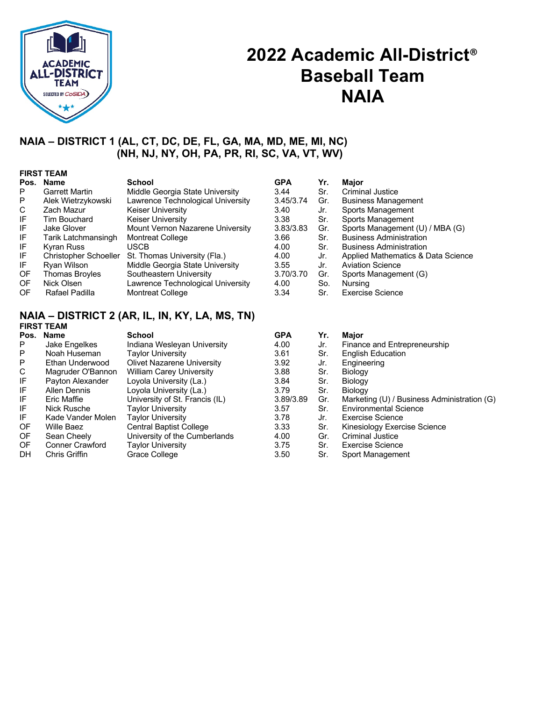

## **2022 Academic All-District**® **Baseball Team NAIA**

## **NAIA – DISTRICT 1 (AL, CT, DC, DE, FL, GA, MA, MD, ME, MI, NC) (NH, NJ, NY, OH, PA, PR, RI, SC, VA, VT, WV)**

|      | <b>FIRST TEAM</b>     |                                   |            |     |                                    |  |  |  |  |
|------|-----------------------|-----------------------------------|------------|-----|------------------------------------|--|--|--|--|
| Pos. | <b>Name</b>           | School                            | <b>GPA</b> | Yr. | <b>Major</b>                       |  |  |  |  |
| P    | <b>Garrett Martin</b> | Middle Georgia State University   | 3.44       | Sr. | Criminal Justice                   |  |  |  |  |
| P    | Alek Wietrzykowski    | Lawrence Technological University | 3.45/3.74  | Gr. | <b>Business Management</b>         |  |  |  |  |
| C    | Zach Mazur            | Keiser University                 | 3.40       | Jr. | Sports Management                  |  |  |  |  |
| IF   | Tim Bouchard          | <b>Keiser University</b>          | 3.38       | Sr. | Sports Management                  |  |  |  |  |
| IF   | Jake Glover           | Mount Vernon Nazarene University  | 3.83/3.83  | Gr. | Sports Management (U) / MBA (G)    |  |  |  |  |
| IF   | Tarik Latchmansingh   | <b>Montreat College</b>           | 3.66       | Sr. | <b>Business Administration</b>     |  |  |  |  |
| IF   | Kyran Russ            | <b>USCB</b>                       | 4.00       | Sr. | <b>Business Administration</b>     |  |  |  |  |
| IF   | Christopher Schoeller | St. Thomas University (Fla.)      | 4.00       | Jr. | Applied Mathematics & Data Science |  |  |  |  |
| IF   | Ryan Wilson           | Middle Georgia State University   | 3.55       | Jr. | <b>Aviation Science</b>            |  |  |  |  |
| 0F   | <b>Thomas Broyles</b> | Southeastern University           | 3.70/3.70  | Gr. | Sports Management (G)              |  |  |  |  |
| 0F   | Nick Olsen            | Lawrence Technological University | 4.00       | So. | Nursing                            |  |  |  |  |
| OF   | Rafael Padilla        | <b>Montreat College</b>           | 3.34       | Sr. | Exercise Science                   |  |  |  |  |

### **NAIA – DISTRICT 2 (AR, IL, IN, KY, LA, MS, TN) FIRST TEAM**

|           | Pos. Name              | <b>School</b>                     | <b>GPA</b> | Yr. | <b>Major</b>                                |
|-----------|------------------------|-----------------------------------|------------|-----|---------------------------------------------|
| P         | Jake Engelkes          | Indiana Wesleyan University       | 4.00       | Jr. | Finance and Entrepreneurship                |
| P         | Noah Huseman           | <b>Taylor University</b>          | 3.61       | Sr. | <b>English Education</b>                    |
| P         | Ethan Underwood        | <b>Olivet Nazarene University</b> | 3.92       | Jr. | Engineering                                 |
| C         | Magruder O'Bannon      | <b>William Carey University</b>   | 3.88       | Sr. | Biology                                     |
| IF        | Payton Alexander       | Loyola University (La.)           | 3.84       | Sr. | <b>Biology</b>                              |
| IF        | <b>Allen Dennis</b>    | Loyola University (La.)           | 3.79       | Sr. | <b>Biology</b>                              |
| IF        | Eric Maffie            | University of St. Francis (IL)    | 3.89/3.89  | Gr. | Marketing (U) / Business Administration (G) |
| IF        | Nick Rusche            | <b>Taylor University</b>          | 3.57       | Sr. | <b>Environmental Science</b>                |
| IF        | Kade Vander Molen      | <b>Taylor University</b>          | 3.78       | Jr. | Exercise Science                            |
| 0F        | Wille Baez             | <b>Central Baptist College</b>    | 3.33       | Sr. | Kinesiology Exercise Science                |
| OF.       | Sean Cheely            | University of the Cumberlands     | 4.00       | Gr. | <b>Criminal Justice</b>                     |
| OF.       | <b>Conner Crawford</b> | <b>Taylor University</b>          | 3.75       | Sr. | <b>Exercise Science</b>                     |
| <b>DH</b> | Chris Griffin          | Grace College                     | 3.50       | Sr. | Sport Management                            |